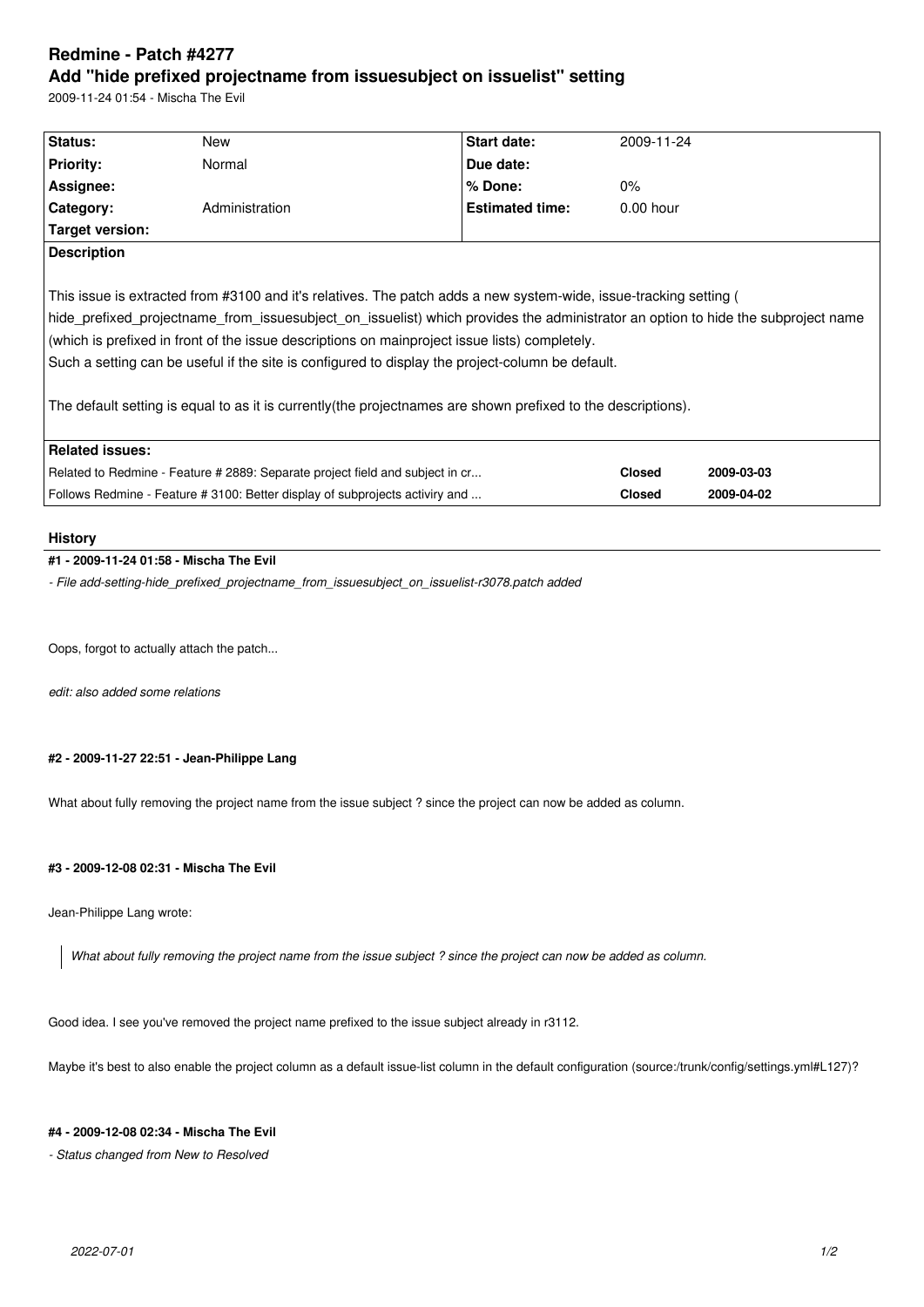# **Redmine - Patch #4277 Add "hide prefixed projectname from issuesubject on issuelist" setting**

2009-11-24 01:54 - Mischa The Evil

| Status:                                                                                                                          | New            | Start date:            | 2009-11-24    |            |
|----------------------------------------------------------------------------------------------------------------------------------|----------------|------------------------|---------------|------------|
| <b>Priority:</b>                                                                                                                 | Normal         | Due date:              |               |            |
| Assignee:                                                                                                                        |                | % Done:                | $0\%$         |            |
| Category:                                                                                                                        | Administration | <b>Estimated time:</b> | $0.00$ hour   |            |
| Target version:                                                                                                                  |                |                        |               |            |
| <b>Description</b>                                                                                                               |                |                        |               |            |
|                                                                                                                                  |                |                        |               |            |
| This issue is extracted from #3100 and it's relatives. The patch adds a new system-wide, issue-tracking setting (                |                |                        |               |            |
| hide prefixed projectname from issuesubject on issuelist) which provides the administrator an option to hide the subproject name |                |                        |               |            |
| (which is prefixed in front of the issue descriptions on mainproject issue lists) completely.                                    |                |                        |               |            |
| Such a setting can be useful if the site is configured to display the project-column be default.                                 |                |                        |               |            |
|                                                                                                                                  |                |                        |               |            |
| The default setting is equal to as it is currently (the projectnames are shown prefixed to the descriptions).                    |                |                        |               |            |
|                                                                                                                                  |                |                        |               |            |
| <b>Related issues:</b>                                                                                                           |                |                        |               |            |
| Related to Redmine - Feature # 2889: Separate project field and subject in cr                                                    |                |                        | <b>Closed</b> | 2009-03-03 |
| Follows Redmine - Feature # 3100: Better display of subprojects activiry and                                                     |                |                        | <b>Closed</b> | 2009-04-02 |
|                                                                                                                                  |                |                        |               |            |

#### **History**

## **#1 - 2009-11-24 01:58 - Mischa The Evil**

*- File add-setting-hide\_prefixed\_projectname\_from\_issuesubject\_on\_issuelist-r3078.patch added*

Oops, forgot to actually attach the patch...

*edit: also added some relations*

## **#2 - 2009-11-27 22:51 - Jean-Philippe Lang**

What about fully removing the project name from the issue subject ? since the project can now be added as column.

### **#3 - 2009-12-08 02:31 - Mischa The Evil**

Jean-Philippe Lang wrote:

*What about fully removing the project name from the issue subject ? since the project can now be added as column.*

Good idea. I see you've removed the project name prefixed to the issue subject already in r3112.

Maybe it's best to also enable the project column as a default issue-list column in the default configuration (source:/trunk/config/settings.yml#L127)?

### **#4 - 2009-12-08 02:34 - Mischa The Evil**

*- Status changed from New to Resolved*